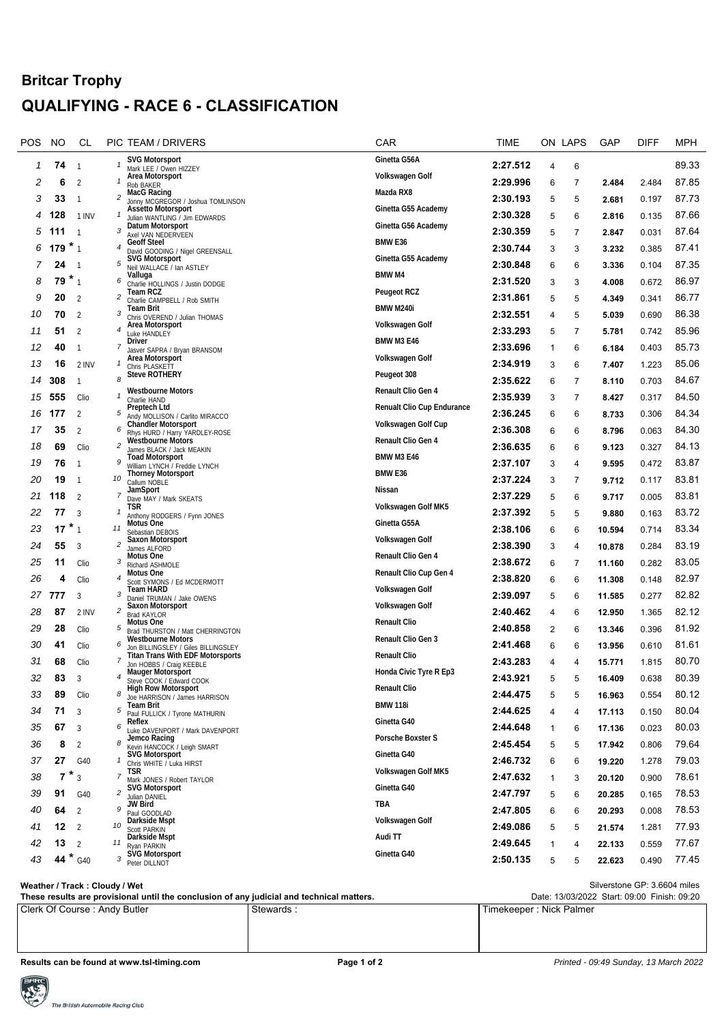## **Britcar Trophy QUALIFYING - RACE 6 - CLASSIFICATION**

| <b>POS</b> | NO     | CL                |                | PIC TEAM / DRIVERS                                                  | CAR                        | <b>TIME</b> |   | ON LAPS        | GAP    | <b>DIFF</b> | MPH   |
|------------|--------|-------------------|----------------|---------------------------------------------------------------------|----------------------------|-------------|---|----------------|--------|-------------|-------|
| 1          | 74     | $\overline{1}$    |                | <b>SVG Motorsport</b><br>Mark LEE / Owen HIZZEY                     | Ginetta G56A               | 2:27.512    | 4 | 6              |        |             | 89.33 |
| 2          | 6      | 2                 |                | Area Motorsport<br>Rob BAKER                                        | Volkswagen Golf            | 2:29.996    | 6 | 7              | 2.484  | 2.484       | 87.85 |
| 3          | 33     | $\overline{1}$    | 2              | MacG Racing<br>Jonny MCGREGOR / Joshua TOMLINSON                    | Mazda RX8                  | 2:30.193    | 5 | 5              | 2.681  | 0.197       | 87.73 |
| 4          | 128    | 1 INV             | $\mathbf{1}$   | Assetto Motorsport<br>Julian WANTLING / Jim EDWARDS                 | Ginetta G55 Academy        | 2:30.328    | 5 | 6              | 2.816  | 0.135       | 87.66 |
| 5          | 111    | $\overline{1}$    | 3              | Datum Motorsport                                                    | Ginetta G56 Academy        | 2:30.359    | 5 | 7              | 2.847  | 0.031       | 87.64 |
| 6          | 179    | $\cdot$ $*$ 1     | 4              | Axel VAN NEDERVEEN<br><b>Geoff Steel</b>                            | BMW <sub>E36</sub>         | 2:30.744    | 3 | 3              | 3.232  | 0.385       | 87.41 |
| 7          | 24     | $\overline{1}$    | 5              | David GOODING / Nigel GREENSALL<br><b>SVG Motorsport</b>            | Ginetta G55 Academy        | 2:30.848    | 6 | 6              | 3.336  | 0.104       | 87.35 |
| 8          | 79     | $\cdot$ $\cdot$ 1 | 6              | Neil WALLACE / Ian ASTLEY<br>Valluga                                | <b>BMW M4</b>              | 2:31.520    |   | 3              |        |             | 86.97 |
| 9          | 20     |                   | 2              | Charlie HOLLINGS / Justin DODGE<br>Team RCZ                         | <b>Peugeot RCZ</b>         |             | 3 |                | 4.008  | 0.672       | 86.77 |
|            |        | $\overline{2}$    | 3              | Charlie CAMPBELL / Rob SMITH<br>Team Brit                           | BMW M240i                  | 2:31.861    | 5 | 5              | 4.349  | 0.341       |       |
| 10         | 70     | $\overline{2}$    | $\pmb{4}$      | Chris OVEREND / Julian THOMAS<br>Area Motorsport                    | Volkswagen Golf            | 2:32.551    | 4 | 5              | 5.039  | 0.690       | 86.38 |
| 11         | 51     | $\overline{2}$    |                | Luke HANDLEY<br>Driver                                              | <b>BMW M3 E46</b>          | 2:33.293    | 5 | $\overline{7}$ | 5.781  | 0.742       | 85.96 |
| 12         | 40     | $\mathbf{1}$      | 7              | Jasver SAPRA / Bryan BRANSOM<br>Area Motorsport                     | Volkswagen Golf            | 2:33.696    | 1 | 6              | 6.184  | 0.403       | 85.73 |
| 13         | 16     | 2 INV             |                | Chris PLASKETT<br><b>Steve ROTHERY</b>                              | Peugeot 308                | 2:34.919    | 3 | 6              | 7.407  | 1.223       | 85.06 |
| 14         | 308    | $\overline{1}$    | 8              | <b>Westbourne Motors</b>                                            | Renault Clio Gen 4         | 2:35.622    | 6 | $\overline{7}$ | 8.110  | 0.703       | 84.67 |
| 15         | 555    | Clio              | 1              | Charlie HAND<br>Preptech Ltd                                        | Renualt Clio Cup Endurance | 2:35.939    | 3 | $\overline{7}$ | 8.427  | 0.317       | 84.50 |
| 16         | 177    | 2                 | 5              | Andy MOLLISON / Carlito MIRACCO<br>Chandler Motorsport              | Volkswagen Golf Cup        | 2:36.245    | 6 | 6              | 8.733  | 0.306       | 84.34 |
| 17         | 35     | $\overline{2}$    | 6              | Rhys HURD / Harry YARDLEY-ROSE<br>Westbourne Motors                 | Renault Clio Gen 4         | 2:36.308    | 6 | 6              | 8.796  | 0.063       | 84.30 |
| 18         | 69     | Clio              | $\overline{c}$ | James BLACK / Jack MEAKIN<br><b>Toad Motorsport</b>                 | <b>BMW M3 E46</b>          | 2:36.635    | 6 | 6              | 9.123  | 0.327       | 84.13 |
| 19         | 76     | $\overline{1}$    | 9              | William LYNCH / Freddie LYNCH                                       | BMW <sub>E36</sub>         | 2:37.107    | 3 | 4              | 9.595  | 0.472       | 83.87 |
| 20         | 19     | $\overline{1}$    | 10             | <b>Thorney Motorsport</b><br>Callum NOBLE                           |                            | 2:37.224    | 3 | 7              | 9.712  | 0.117       | 83.81 |
| 21         | 118    | $\overline{2}$    | $\overline{7}$ | JamSport<br>Dave MAY / Mark SKEATS                                  | Nissan                     | 2:37.229    | 5 | 6              | 9.717  | 0.005       | 83.81 |
| 22         | 77     | 3                 | $\mathcal I$   | TSR<br>Anthony RODGERS / Fynn JONES                                 | Volkswagen Golf MK5        | 2:37.392    | 5 | 5              | 9.880  | 0.163       | 83.72 |
| 23         | 17     | $\cdot$ $*$ 1     | 11             | Motus One<br>Sebastian DEBOIS                                       | Ginetta G55A               | 2:38.106    | 6 | 6              | 10.594 | 0.714       | 83.34 |
| 24         | 55     | $\overline{3}$    | 2              | Saxon Motorsport<br>James ALFORD                                    | Volkswagen Golf            | 2:38.390    | 3 | 4              | 10.878 | 0.284       | 83.19 |
| 25         | 11     | Clio              | 3              | Motus One<br>Richard ASHMOLE                                        | Renault Clio Gen 4         | 2:38.672    | 6 | 7              | 11.160 | 0.282       | 83.05 |
| 26         | 4      | Clio              | 4              | Motus One<br>Scott SYMONS / Ed MCDERMOTT                            | Renault Clio Cup Gen 4     | 2:38.820    | 6 | 6              | 11.308 | 0.148       | 82.97 |
|            | 27 777 | 3                 | 3              | Team HARD<br>Daniel TRUMAN / Jake OWENS                             | Volkswagen Golf            | 2:39.097    | 5 | 6              | 11.585 | 0.277       | 82.82 |
| 28         | 87     | 2 INV             | 2              | Saxon Motorsport<br><b>Brad KAYLOR</b>                              | Volkswagen Golf            | 2:40.462    | 4 | 6              | 12.950 | 1.365       | 82.12 |
| 29         | 28     | Clio              | 5              | Motus One<br>Brad THURSTON / Matt CHERRINGTON                       | <b>Renault Clio</b>        | 2:40.858    | 2 | 6              | 13.346 | 0.396       | 81.92 |
| 30         | 41     | Clio              | 6              | Westbourne Motors<br>Jon BILLINGSLEY / Giles BILLINGSLEY            | <b>Renault Clio Gen 3</b>  | 2:41.468    | 6 | 6              | 13.956 | 0.610       | 81.61 |
| 31         | 68     | Clio              |                | <b>Titan Trans With EDF Motorsports</b><br>Jon HOBBS / Craig KEEBLE | <b>Renault Clio</b>        | 2:43.283    | 4 | 4              | 15.771 | 1.815       | 80.70 |
| 32         | 83     | 3                 |                | Mauger Motorsport                                                   | Honda Civic Tyre R Ep3     | 2:43.921    | 5 | 5              | 16.409 | 0.638       | 80.39 |
| 33         | 89     | Clio              | 8              | Steve COOK / Edward COOK<br><b>High Row Motorsport</b>              | <b>Renault Clio</b>        | 2:44.475    | 5 | 5              | 16.963 | 0.554       | 80.12 |
| 34         | 71     | -3                | 5              | Joe HARRISON / James HARRISON<br><b>Team Brit</b>                   | <b>BMW 118i</b>            | 2:44.625    | 4 | 4              | 17.113 | 0.150       | 80.04 |
| 35         | 67     | -3                | 6              | Paul FULLICK / Tyrone MATHURIN<br>Reflex                            | Ginetta G40                | 2:44.648    | 1 | 6              | 17.136 | 0.023       | 80.03 |
| 36         | 8      | $\overline{2}$    | 8              | Luke DAVENPORT / Mark DAVENPORT<br>Jemco Racing                     | Porsche Boxster S          | 2:45.454    |   | 5              |        |             | 79.64 |
|            |        |                   | 1              | Kevin HANCOCK / Leigh SMART<br><b>SVG Motorsport</b>                | Ginetta G40                |             | 5 |                | 17.942 | 0.806       | 79.03 |
| 37         | 27     | G40<br>$7 * 3$    | $\overline{7}$ | Chris WHITE / Luka HIRST<br>TSR                                     | Volkswagen Golf MK5        | 2:46.732    | 6 | 6              | 19.220 | 1.278       |       |
| 38         |        |                   |                | Mark JONES / Robert TAYLOR<br><b>SVG Motorsport</b>                 | Ginetta G40                | 2:47.632    | 1 | 3              | 20.120 | 0.900       | 78.61 |
| 39         | 91     | G40               | 2              | Julian DANIEL<br>JW Bird                                            | TBA                        | 2:47.797    | 5 | 6              | 20.285 | 0.165       | 78.53 |
| 40         | 64     | $\overline{2}$    | 9              | Paul GOODLAD<br>Darkside Mspt                                       | Volkswagen Golf            | 2:47.805    | 6 | 6              | 20.293 | 0.008       | 78.53 |
| 41         | 12     | $\overline{2}$    | 10             | Scott PARKIN<br>Darkside Mspt                                       | Audi TT                    | 2:49.086    | 5 | 5              | 21.574 | 1.281       | 77.93 |
| 42         | 13     | 2                 | 11             | Ryan PARKIN                                                         |                            | 2:49.645    | 1 | 4              | 22.133 | 0.559       | 77.67 |
| 43         | 44     | $\star$ G40       | 3              | <b>SVG Motorsport</b><br>Peter DILLNOT                              | Ginetta G40                | 2:50.135    | 5 | 5              | 22.623 | 0.490       | 77.45 |
|            |        |                   |                |                                                                     |                            |             |   |                |        |             |       |

Clerk Of Course : Andy Butler Stewards : Stewards : Timekeeper : Nick Palmer Silverstone GP: 3.6604 miles **These results are provisional until the conclusion of any judicial and technical matters. Weather / Track : Cloudy / Wet** Date: 13/03/2022 Start: 09:00 Finish: 09:20

**Results can be found at www.tsl-timing.com example 2002 Page 1 of 2 Printed - 09:49 Sunday, 13 March 2022**